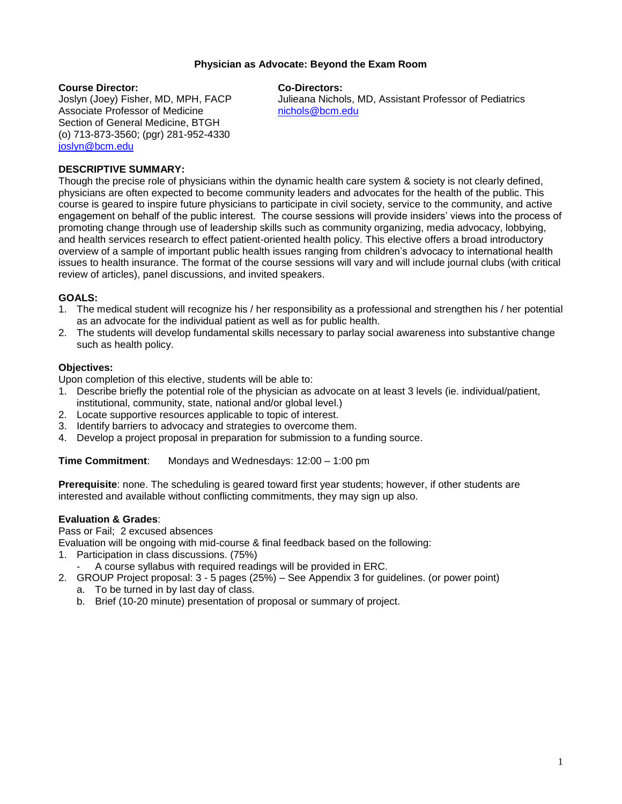## **Physician as Advocate: Beyond the Exam Room**

#### **Course Director: Co-Directors:**

Associate Professor of Medicine [nichols@bcm.edu](mailto:nichols@bcm.edu) Section of General Medicine, BTGH (o) 713-873-3560; (pgr) 281-952-4330 [joslyn@bcm.edu](mailto:joslyn@bcm.edu)

Joslyn (Joey) Fisher, MD, MPH, FACP Julieana Nichols, MD, Assistant Professor of Pediatrics

## **DESCRIPTIVE SUMMARY:**

Though the precise role of physicians within the dynamic health care system & society is not clearly defined, physicians are often expected to become community leaders and advocates for the health of the public. This course is geared to inspire future physicians to participate in civil society, service to the community, and active engagement on behalf of the public interest. The course sessions will provide insiders' views into the process of promoting change through use of leadership skills such as community organizing, media advocacy, lobbying, and health services research to effect patient-oriented health policy. This elective offers a broad introductory overview of a sample of important public health issues ranging from children's advocacy to international health issues to health insurance. The format of the course sessions will vary and will include journal clubs (with critical review of articles), panel discussions, and invited speakers.

## **GOALS:**

- 1. The medical student will recognize his / her responsibility as a professional and strengthen his / her potential as an advocate for the individual patient as well as for public health.
- 2. The students will develop fundamental skills necessary to parlay social awareness into substantive change such as health policy.

## **Objectives:**

Upon completion of this elective, students will be able to:

- 1. Describe briefly the potential role of the physician as advocate on at least 3 levels (ie. individual/patient, institutional, community, state, national and/or global level.)
- 2. Locate supportive resources applicable to topic of interest.
- 3. Identify barriers to advocacy and strategies to overcome them.
- 4. Develop a project proposal in preparation for submission to a funding source.

**Time Commitment:** Mondays and Wednesdays: 12:00 – 1:00 pm

**Prerequisite**: none. The scheduling is geared toward first year students; however, if other students are interested and available without conflicting commitments, they may sign up also.

## **Evaluation & Grades**:

Pass or Fail; 2 excused absences

Evaluation will be ongoing with mid-course & final feedback based on the following:

1. Participation in class discussions. (75%)

A course syllabus with required readings will be provided in ERC.

- 2. GROUP Project proposal: 3 5 pages (25%) See Appendix 3 for guidelines. (or power point)
	- a. To be turned in by last day of class.
	- b. Brief (10-20 minute) presentation of proposal or summary of project.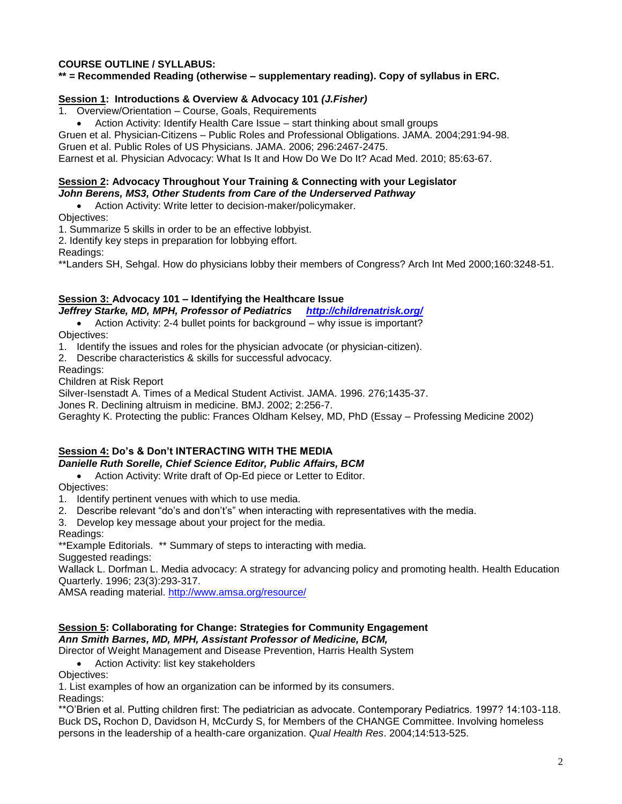# **COURSE OUTLINE / SYLLABUS:**

# **\*\* = Recommended Reading (otherwise – supplementary reading). Copy of syllabus in ERC.**

## **Session 1: Introductions & Overview & Advocacy 101** *(J.Fisher)*

1. Overview/Orientation – Course, Goals, Requirements

• Action Activity: Identify Health Care Issue – start thinking about small groups

Gruen et al. Physician-Citizens – Public Roles and Professional Obligations. JAMA. 2004;291:94-98.

Gruen et al. Public Roles of US Physicians. JAMA. 2006; 296:2467-2475.

Earnest et al. Physician Advocacy: What Is It and How Do We Do It? Acad Med. 2010; 85:63-67.

## **Session 2: Advocacy Throughout Your Training & Connecting with your Legislator** *John Berens, MS3, Other Students from Care of the Underserved Pathway*

 Action Activity: Write letter to decision-maker/policymaker. Objectives:

1. Summarize 5 skills in order to be an effective lobbyist.

2. Identify key steps in preparation for lobbying effort.

Readings:

\*\*Landers SH, Sehgal. How do physicians lobby their members of Congress? Arch Int Med 2000;160:3248-51.

# **Session 3: Advocacy 101 – Identifying the Healthcare Issue**

*Jeffrey Starke, MD, MPH, Professor of Pediatrics <http://childrenatrisk.org/>*

• Action Activity: 2-4 bullet points for background – why issue is important? Objectives:

1. Identify the issues and roles for the physician advocate (or physician-citizen).

2. Describe characteristics & skills for successful advocacy.

Readings:

Children at Risk Report

Silver-Isenstadt A. Times of a Medical Student Activist. JAMA. 1996. 276;1435-37.

Jones R. Declining altruism in medicine. BMJ. 2002; 2:256-7.

Geraghty K. Protecting the public: Frances Oldham Kelsey, MD, PhD (Essay – Professing Medicine 2002)

# **Session 4: Do's & Don't INTERACTING WITH THE MEDIA** *Danielle Ruth Sorelle, Chief Science Editor, Public Affairs, BCM*

Action Activity: Write draft of Op-Ed piece or Letter to Editor.

# Objectives:

1. Identify pertinent venues with which to use media.

2. Describe relevant "do's and don't's" when interacting with representatives with the media.

3. Develop key message about your project for the media.

Readings:

\*\*Example Editorials. \*\* Summary of steps to interacting with media.

Suggested readings:

Wallack L. Dorfman L. Media advocacy: A strategy for advancing policy and promoting health. Health Education Quarterly. 1996; 23(3):293-317.

AMSA reading material.<http://www.amsa.org/resource/>

# **Session 5: Collaborating for Change: Strategies for Community Engagement** *Ann Smith Barnes, MD, MPH, Assistant Professor of Medicine, BCM,*

Director of Weight Management and Disease Prevention, Harris Health System

Action Activity: list key stakeholders

Objectives:

1. List examples of how an organization can be informed by its consumers.

Readings:

\*\*O'Brien et al. Putting children first: The pediatrician as advocate. Contemporary Pediatrics. 1997? 14:103-118. Buck DS**,** Rochon D, Davidson H, McCurdy S, for Members of the CHANGE Committee. Involving homeless persons in the leadership of a health-care organization. *Qual Health Res*. 2004;14:513-525.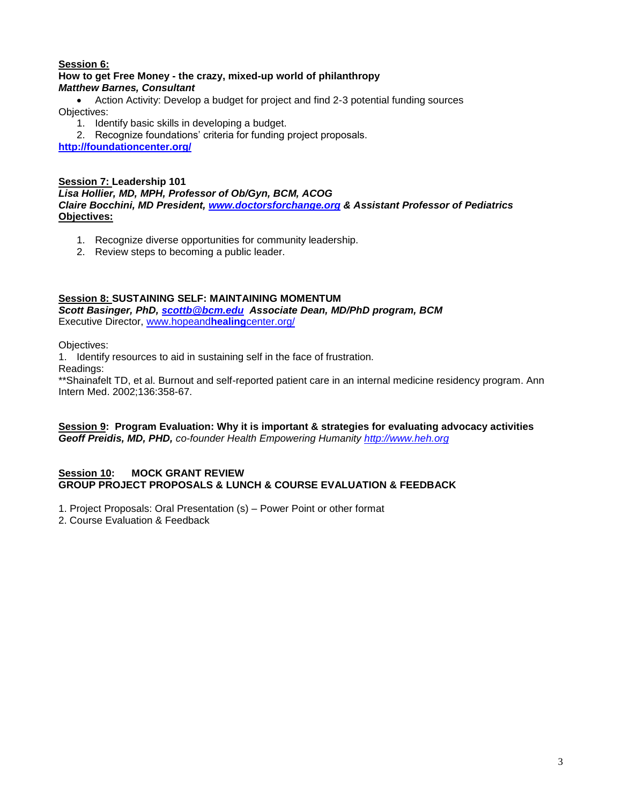# **Session 6:**

## **How to get Free Money - the crazy, mixed-up world of philanthropy** *Matthew Barnes, Consultant*

 Action Activity: Develop a budget for project and find 2-3 potential funding sources Objectives:

- 1. Identify basic skills in developing a budget.
- 2. Recognize foundations' criteria for funding project proposals.

**<http://foundationcenter.org/>**

## **Session 7: Leadership 101** *Lisa Hollier, MD, MPH, Professor of Ob/Gyn, BCM, ACOG Claire Bocchini, MD President, [www.doctorsforchange.org](http://www.doctorsforchange.org/) & Assistant Professor of Pediatrics* **Objectives:**

- 1. Recognize diverse opportunities for community leadership.
- 2. Review steps to becoming a public leader.

# **Session 8: SUSTAINING SELF: MAINTAINING MOMENTUM**

*Scott Basinger, PhD, [scottb@bcm.edu](mailto:scottb@bcm.edu) Associate Dean, MD/PhD program, BCM* Executive Director, [www.hopeand](http://www.hopeandhealingcenter.org/)**healing**center.org/

Objectives:

1. Identify resources to aid in sustaining self in the face of frustration.

Readings:

\*\*Shainafelt TD, et al. Burnout and self-reported patient care in an internal medicine residency program. Ann Intern Med. 2002;136:358-67.

## **Session 9: Program Evaluation: Why it is important & strategies for evaluating advocacy activities** *Geoff Preidis, MD, PHD, co-founder Health Empowering Humanity [http://www.heh.org](http://www.heh.org/)*

## **Session 10: MOCK GRANT REVIEW GROUP PROJECT PROPOSALS & LUNCH & COURSE EVALUATION & FEEDBACK**

1. Project Proposals: Oral Presentation (s) – Power Point or other format

2. Course Evaluation & Feedback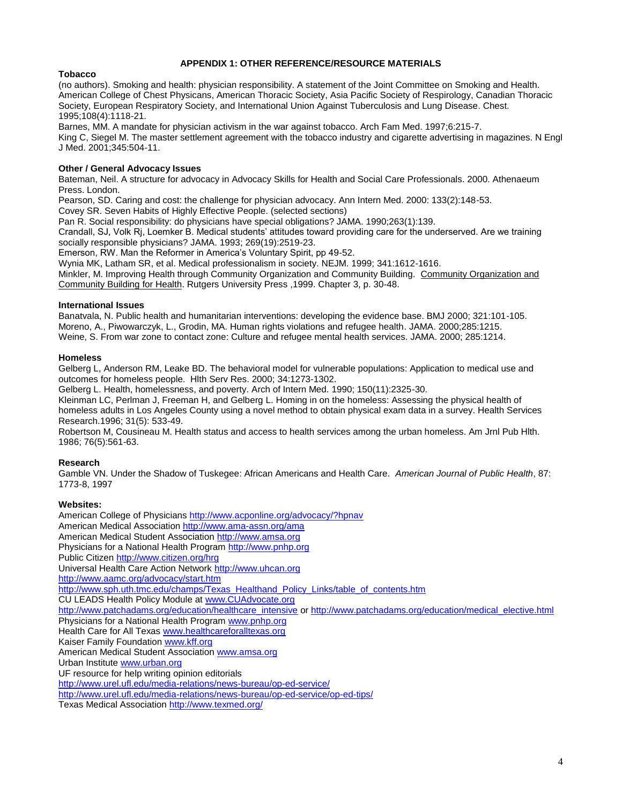#### **APPENDIX 1: OTHER REFERENCE/RESOURCE MATERIALS**

## **Tobacco**

(no authors). Smoking and health: physician responsibility. A statement of the Joint Committee on Smoking and Health. American College of Chest Physicans, American Thoracic Society, Asia Pacific Society of Respirology, Canadian Thoracic Society, European Respiratory Society, and International Union Against Tuberculosis and Lung Disease. Chest. 1995;108(4):1118-21.

Barnes, MM. A mandate for physician activism in the war against tobacco. Arch Fam Med. 1997;6:215-7.

King C, Siegel M. The master settlement agreement with the tobacco industry and cigarette advertising in magazines. N Engl J Med. 2001;345:504-11.

#### **Other / General Advocacy Issues**

Bateman, Neil. A structure for advocacy in Advocacy Skills for Health and Social Care Professionals. 2000. Athenaeum Press. London.

Pearson, SD. Caring and cost: the challenge for physician advocacy. Ann Intern Med. 2000: 133(2):148-53.

Covey SR. Seven Habits of Highly Effective People. (selected sections)

Pan R. Social responsibility: do physicians have special obligations? JAMA. 1990;263(1):139.

Crandall, SJ, Volk Rj, Loemker B. Medical students' attitudes toward providing care for the underserved. Are we training socially responsible physicians? JAMA. 1993; 269(19):2519-23.

Emerson, RW. Man the Reformer in America's Voluntary Spirit, pp 49-52.

Wynia MK, Latham SR, et al. Medical professionalism in society. NEJM. 1999; 341:1612-1616.

Minkler, M. Improving Health through Community Organization and Community Building. Community Organization and Community Building for Health. Rutgers University Press ,1999. Chapter 3, p. 30-48.

#### **International Issues**

Banatvala, N. Public health and humanitarian interventions: developing the evidence base. BMJ 2000; 321:101-105. Moreno, A., Piwowarczyk, L., Grodin, MA. Human rights violations and refugee health. JAMA. 2000;285:1215. Weine, S. From war zone to contact zone: Culture and refugee mental health services. JAMA. 2000; 285:1214.

#### **Homeless**

Gelberg L, Anderson RM, Leake BD. The behavioral model for vulnerable populations: Application to medical use and outcomes for homeless people. Hlth Serv Res. 2000; 34:1273-1302.

Gelberg L. Health, homelessness, and poverty. Arch of Intern Med. 1990; 150(11):2325-30.

Kleinman LC, Perlman J, Freeman H, and Gelberg L. Homing in on the homeless: Assessing the physical health of homeless adults in Los Angeles County using a novel method to obtain physical exam data in a survey. Health Services Research.1996; 31(5): 533-49.

Robertson M, Cousineau M. Health status and access to health services among the urban homeless. Am Jrnl Pub Hlth. 1986; 76(5):561-63.

## **Research**

Gamble VN. Under the Shadow of Tuskegee: African Americans and Health Care. *American Journal of Public Health*, 87: 1773-8, 1997

#### **Websites:**

American College of Physician[s http://www.acponline.org/advocacy/?hpnav](http://www.acponline.org/advocacy/?hpnav) American Medical Association<http://www.ama-assn.org/ama> American Medical Student Associatio[n http://www.amsa.org](http://www.amsa.org/) Physicians for a National Health Progra[m http://www.pnhp.org](http://www.pnhp.org/) Public Citize[n http://www.citizen.org/hrg](http://www.citizen.org/hrg) Universal Health Care Action Network [http://www.uhcan.org](http://www.uhcan.org/) <http://www.aamc.org/advocacy/start.htm> [http://www.sph.uth.tmc.edu/champs/Texas\\_Healthand\\_Policy\\_Links/table\\_of\\_contents.htm](http://www.sph.uth.tmc.edu/champs/Texas_Healthand_Policy_Links/table_of_contents.htm) CU LEADS Health Policy Module at [www.CUAdvocate.org](http://www.cuadvocate.org/) [http://www.patchadams.org/education/healthcare\\_intensive](http://www.patchadams.org/education/healthcare_intensive) or [http://www.patchadams.org/education/medical\\_elective.html](http://www.patchadams.org/education/medical_elective.html) Physicians for a National Health Progra[m www.pnhp.org](http://www.pnhp.org/) Health Care for All Texa[s www.healthcareforalltexas.org](http://www.healthcareforalltexas.org/) Kaiser Family Foundation [www.kff.org](http://www.kff.org/) American Medical Student Associatio[n www.amsa.org](http://www.amsa.org/) Urban Institut[e www.urban.org](http://www.urban.org/) UF resource for help writing opinion editorials <http://www.urel.ufl.edu/media-relations/news-bureau/op-ed-service/> <http://www.urel.ufl.edu/media-relations/news-bureau/op-ed-service/op-ed-tips/> Texas Medical Association <http://www.texmed.org/>